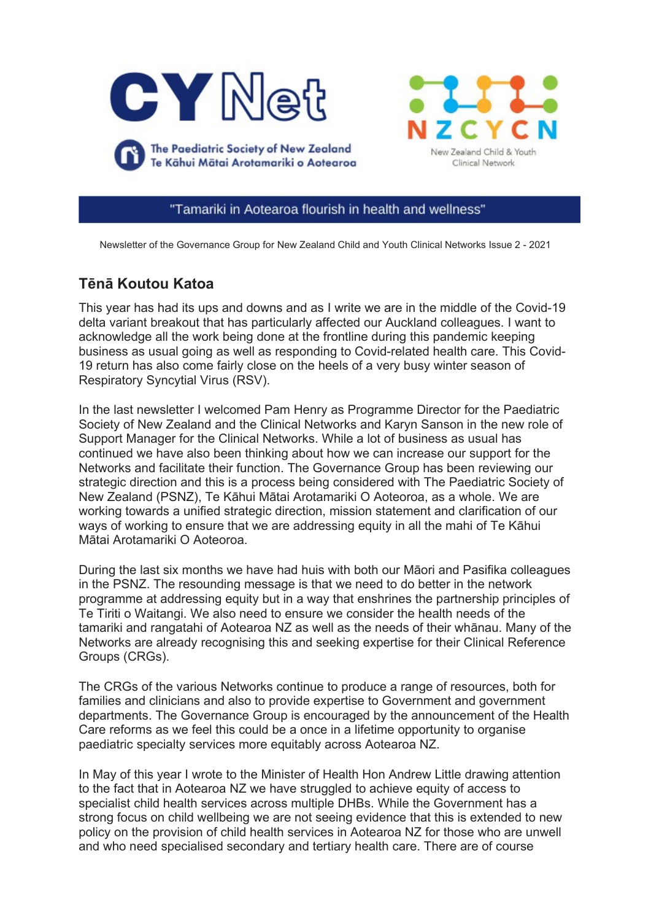



"Tamariki in Aotearoa flourish in health and wellness"

Newsletter of the Governance Group for New Zealand Child and Youth Clinical Networks Issue 2 - 2021

# **Tēnā Koutou Katoa**

This year has had its ups and downs and as I write we are in the middle of the Covid-19 delta variant breakout that has particularly affected our Auckland colleagues. I want to acknowledge all the work being done at the frontline during this pandemic keeping business as usual going as well as responding to Covid-related health care. This Covid-19 return has also come fairly close on the heels of a very busy winter season of Respiratory Syncytial Virus (RSV).

In the last newsletter I welcomed Pam Henry as Programme Director for the Paediatric Society of New Zealand and the Clinical Networks and Karyn Sanson in the new role of Support Manager for the Clinical Networks. While a lot of business as usual has continued we have also been thinking about how we can increase our support for the Networks and facilitate their function. The Governance Group has been reviewing our strategic direction and this is a process being considered with The Paediatric Society of New Zealand (PSNZ), Te Kāhui Mātai Arotamariki O Aoteoroa, as a whole. We are working towards a unified strategic direction, mission statement and clarification of our ways of working to ensure that we are addressing equity in all the mahi of Te Kāhui Mātai Arotamariki O Aoteoroa.

During the last six months we have had huis with both our Māori and Pasifika colleagues in the PSNZ. The resounding message is that we need to do better in the network programme at addressing equity but in a way that enshrines the partnership principles of Te Tiriti o Waitangi. We also need to ensure we consider the health needs of the tamariki and rangatahi of Aotearoa NZ as well as the needs of their whānau. Many of the Networks are already recognising this and seeking expertise for their Clinical Reference Groups (CRGs).

The CRGs of the various Networks continue to produce a range of resources, both for families and clinicians and also to provide expertise to Government and government departments. The Governance Group is encouraged by the announcement of the Health Care reforms as we feel this could be a once in a lifetime opportunity to organise paediatric specialty services more equitably across Aotearoa NZ.

In May of this year I wrote to the Minister of Health Hon Andrew Little drawing attention to the fact that in Aotearoa NZ we have struggled to achieve equity of access to specialist child health services across multiple DHBs. While the Government has a strong focus on child wellbeing we are not seeing evidence that this is extended to new policy on the provision of child health services in Aotearoa NZ for those who are unwell and who need specialised secondary and tertiary health care. There are of course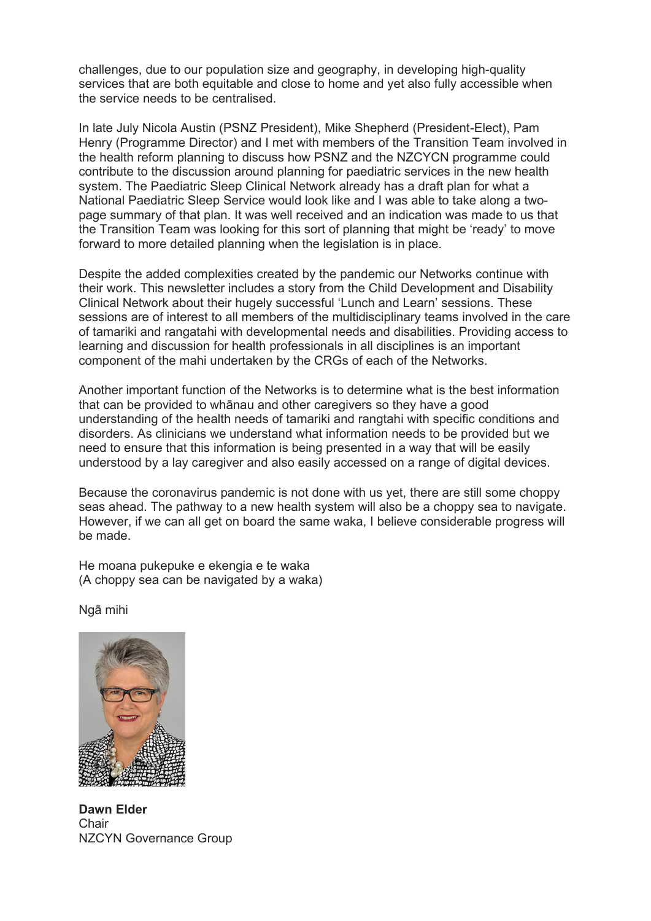challenges, due to our population size and geography, in developing high-quality services that are both equitable and close to home and yet also fully accessible when the service needs to be centralised.

In late July Nicola Austin (PSNZ President), Mike Shepherd (President-Elect), Pam Henry (Programme Director) and I met with members of the Transition Team involved in the health reform planning to discuss how PSNZ and the NZCYCN programme could contribute to the discussion around planning for paediatric services in the new health system. The Paediatric Sleep Clinical Network already has a draft plan for what a National Paediatric Sleep Service would look like and I was able to take along a twopage summary of that plan. It was well received and an indication was made to us that the Transition Team was looking for this sort of planning that might be 'ready' to move forward to more detailed planning when the legislation is in place.

Despite the added complexities created by the pandemic our Networks continue with their work. This newsletter includes a story from the Child Development and Disability Clinical Network about their hugely successful 'Lunch and Learn' sessions. These sessions are of interest to all members of the multidisciplinary teams involved in the care of tamariki and rangatahi with developmental needs and disabilities. Providing access to learning and discussion for health professionals in all disciplines is an important component of the mahi undertaken by the CRGs of each of the Networks.

Another important function of the Networks is to determine what is the best information that can be provided to whānau and other caregivers so they have a good understanding of the health needs of tamariki and rangtahi with specific conditions and disorders. As clinicians we understand what information needs to be provided but we need to ensure that this information is being presented in a way that will be easily understood by a lay caregiver and also easily accessed on a range of digital devices.

Because the coronavirus pandemic is not done with us yet, there are still some choppy seas ahead. The pathway to a new health system will also be a choppy sea to navigate. However, if we can all get on board the same waka, I believe considerable progress will be made.

He moana pukepuke e ekengia e te waka (A choppy sea can be navigated by a waka)

Ngā mihi



**Dawn Elder Chair** NZCYN Governance Group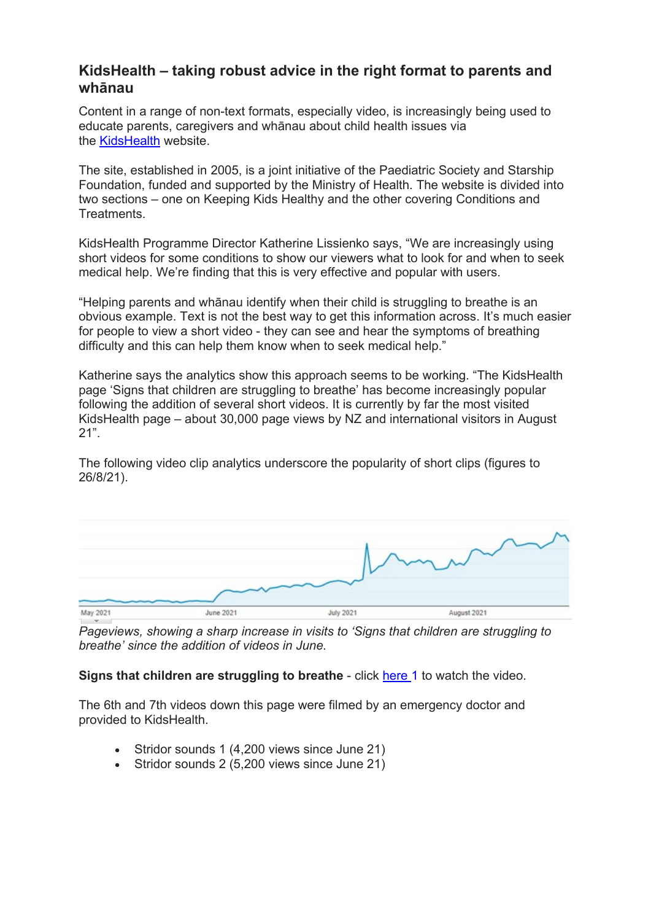### **KidsHealth – taking robust advice in the right format to parents and whānau**

Content in a range of non-text formats, especially video, is increasingly being used to educate parents, caregivers and whānau about child health issues via the [KidsHealth](https://www.kidshealth.org.nz/) website.

The site, established in 2005, is a joint initiative of the Paediatric Society and Starship Foundation, funded and supported by the Ministry of Health. The website is divided into two sections – one on Keeping Kids Healthy and the other covering Conditions and Treatments.

KidsHealth Programme Director Katherine Lissienko says, "We are increasingly using short videos for some conditions to show our viewers what to look for and when to seek medical help. We're finding that this is very effective and popular with users.

"Helping parents and whānau identify when their child is struggling to breathe is an obvious example. Text is not the best way to get this information across. It's much easier for people to view a short video - they can see and hear the symptoms of breathing difficulty and this can help them know when to seek medical help."

Katherine says the analytics show this approach seems to be working. "The KidsHealth page 'Signs that children are struggling to breathe' has become increasingly popular following the addition of several short videos. It is currently by far the most visited KidsHealth page – about 30,000 page views by NZ and international visitors in August 21".

The following video clip analytics underscore the popularity of short clips (figures to 26/8/21).



*Pageviews, showing a sharp increase in visits to 'Signs that children are struggling to breathe' since the addition of videos in June.*

#### **Signs that children are struggling to breathe** - click [here](https://kidshealth.org.nz/signs-children-are-struggling-breathe) 1 to watch the video.

The 6th and 7th videos down this page were filmed by an emergency doctor and provided to KidsHealth.

- Stridor sounds 1 (4,200 views since June 21)
- Stridor sounds 2 (5,200 views since June 21)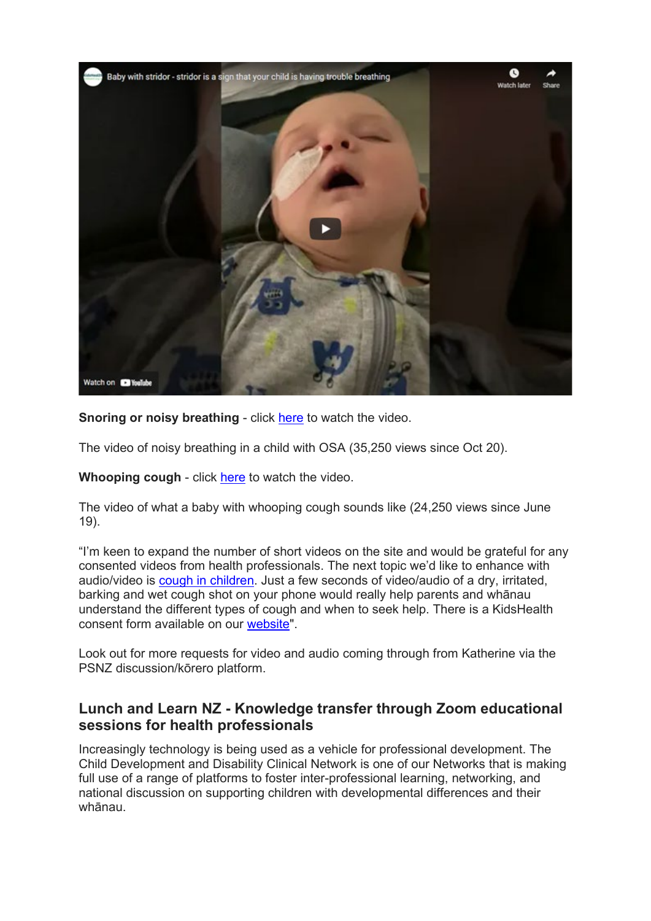

**Snoring or noisy breathing** - click [here](https://kidshealth.org.nz/snoring-or-noisy-breathing-children) to watch the video.

The video of noisy breathing in a child with OSA (35,250 views since Oct 20).

**Whooping cough** - click [here](https://kidshealth.org.nz/whooping-cough) to watch the video.

The video of what a baby with whooping cough sounds like (24,250 views since June 19).

"I'm keen to expand the number of short videos on the site and would be grateful for any consented videos from health professionals. The next topic we'd like to enhance with audio/video is [cough in children.](https://kidshealth.org.nz/cough-children) Just a few seconds of video/audio of a dry, irritated, barking and wet cough shot on your phone would really help parents and whānau understand the different types of cough and when to seek help. There is a KidsHealth consent form available on our [website"](https://www.paediatrics.org.nz/our-work/kidshealth).

Look out for more requests for video and audio coming through from Katherine via the PSNZ discussion/kōrero platform.

## **Lunch and Learn NZ - Knowledge transfer through Zoom educational sessions for health professionals**

Increasingly technology is being used as a vehicle for professional development. The Child Development and Disability Clinical Network is one of our Networks that is making full use of a range of platforms to foster inter-professional learning, networking, and national discussion on supporting children with developmental differences and their whānau.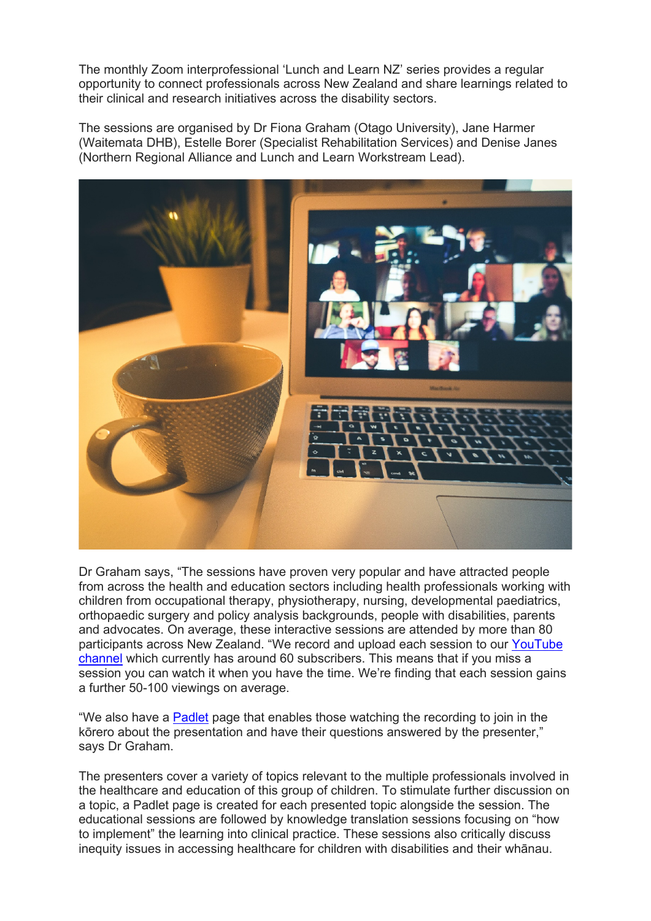The monthly Zoom interprofessional 'Lunch and Learn NZ' series provides a regular opportunity to connect professionals across New Zealand and share learnings related to their clinical and research initiatives across the disability sectors.

The sessions are organised by Dr Fiona Graham (Otago University), Jane Harmer (Waitemata DHB), Estelle Borer (Specialist Rehabilitation Services) and Denise Janes (Northern Regional Alliance and Lunch and Learn Workstream Lead).



Dr Graham says, "The sessions have proven very popular and have attracted people from across the health and education sectors including health professionals working with children from occupational therapy, physiotherapy, nursing, developmental paediatrics, orthopaedic surgery and policy analysis backgrounds, people with disabilities, parents and advocates. On average, these interactive sessions are attended by more than 80 participants across New Zealand. "We record and upload each session to our [YouTube](https://www.youtube.com/channel/UC8yoaY7Hl7AgDkQxAZD0e0Q)  [channel](https://www.youtube.com/channel/UC8yoaY7Hl7AgDkQxAZD0e0Q) which currently has around 60 subscribers. This means that if you miss a session you can watch it when you have the time. We're finding that each session gains a further 50-100 viewings on average.

"We also have a [Padlet](https://padlet.com/jane323/ff1g8ufzcgygs9ny) page that enables those watching the recording to join in the kōrero about the presentation and have their questions answered by the presenter," says Dr Graham.

The presenters cover a variety of topics relevant to the multiple professionals involved in the healthcare and education of this group of children. To stimulate further discussion on a topic, a Padlet page is created for each presented topic alongside the session. The educational sessions are followed by knowledge translation sessions focusing on "how to implement" the learning into clinical practice. These sessions also critically discuss inequity issues in accessing healthcare for children with disabilities and their whānau.